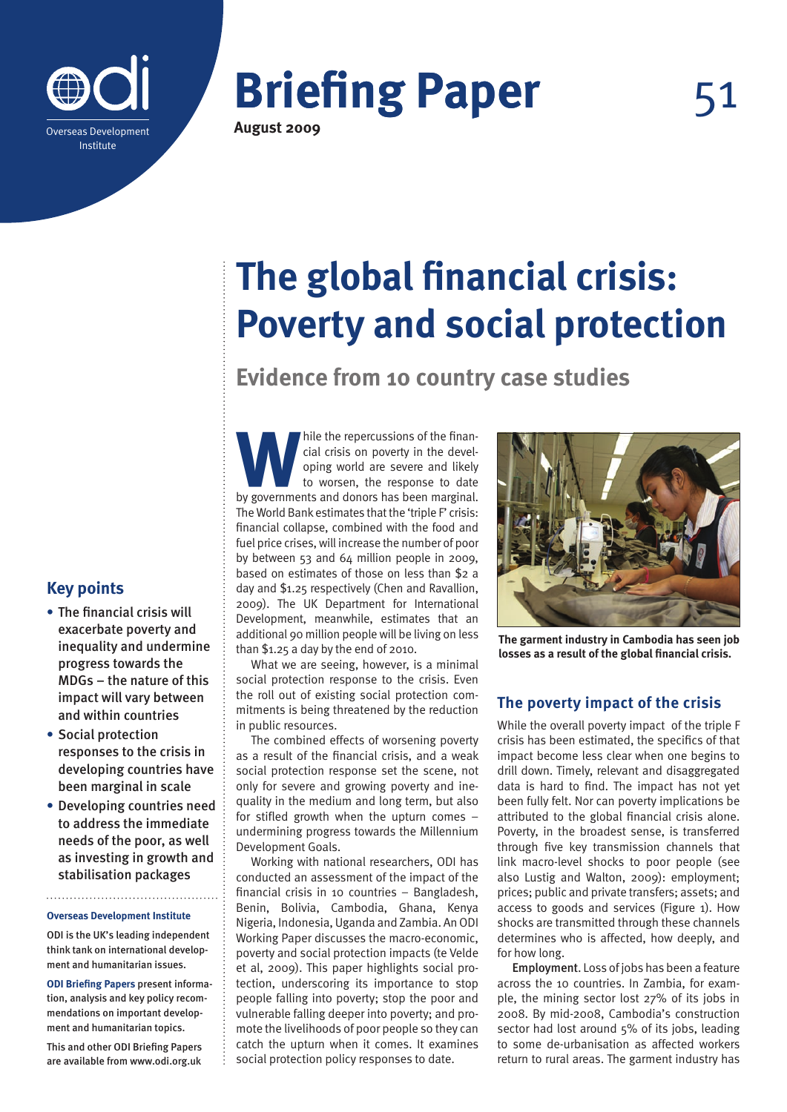

# **Briefing Paper**

**August 2009**

51

## **The global financial crisis: Poverty and social protection**

**Evidence from 10 country case studies**

while the repercussions of the finan-<br>
cial crisis on poverty in the devel-<br>
oping world are severe and likely<br>
to worsen, the response to date<br>
by governments and donors has been marginal. cial crisis on poverty in the developing world are severe and likely to worsen, the response to date The World Bank estimates that the 'triple F' crisis: financial collapse, combined with the food and fuel price crises, will increase the number of poor by between 53 and 64 million people in 2009, based on estimates of those on less than \$2 a day and \$1.25 respectively (Chen and Ravallion, 2009). The UK Department for International Development, meanwhile, estimates that an additional 90 million people will be living on less than \$1.25 a day by the end of 2010.

What we are seeing, however, is a minimal social protection response to the crisis. Even the roll out of existing social protection commitments is being threatened by the reduction in public resources.

The combined effects of worsening poverty as a result of the financial crisis, and a weak social protection response set the scene, not only for severe and growing poverty and inequality in the medium and long term, but also for stifled growth when the upturn comes – undermining progress towards the Millennium Development Goals.

Working with national researchers, ODI has conducted an assessment of the impact of the financial crisis in 10 countries – Bangladesh, Benin, Bolivia, Cambodia, Ghana, Kenya Nigeria, Indonesia, Uganda and Zambia. An ODI Working Paper discusses the macro-economic, poverty and social protection impacts (te Velde et al, 2009). This paper highlights social protection, underscoring its importance to stop people falling into poverty; stop the poor and vulnerable falling deeper into poverty; and promote the livelihoods of poor people so they can catch the upturn when it comes. It examines social protection policy responses to date.



**The garment industry in Cambodia has seen job losses as a result of the global financial crisis.**

### **The poverty impact of the crisis**

While the overall poverty impact of the triple F crisis has been estimated, the specifics of that impact become less clear when one begins to drill down. Timely, relevant and disaggregated data is hard to find. The impact has not yet been fully felt. Nor can poverty implications be attributed to the global financial crisis alone. Poverty, in the broadest sense, is transferred through five key transmission channels that link macro-level shocks to poor people (see also Lustig and Walton, 2009): employment; prices; public and private transfers; assets; and access to goods and services (Figure 1). How shocks are transmitted through these channels determines who is affected, how deeply, and for how long.

Employment. Loss of jobs has been a feature across the 10 countries. In Zambia, for example, the mining sector lost 27% of its jobs in 2008. By mid-2008, Cambodia's construction sector had lost around 5% of its jobs, leading to some de-urbanisation as affected workers return to rural areas. The garment industry has

### **Key points**

- **•** The financial crisis will exacerbate poverty and inequality and undermine progress towards the MDGs – the nature of this impact will vary between and within countries
- **•** Social protection responses to the crisis in developing countries have been marginal in scale
- **•** Developing countries need to address the immediate needs of the poor, as well as investing in growth and stabilisation packages

#### **Overseas Development Institute**

ODI is the UK's leading independent think tank on international development and humanitarian issues.

**ODI Briefing Papers** present information, analysis and key policy recommendations on important development and humanitarian topics.

This and other ODI Briefing Papers are available from www.odi.org.uk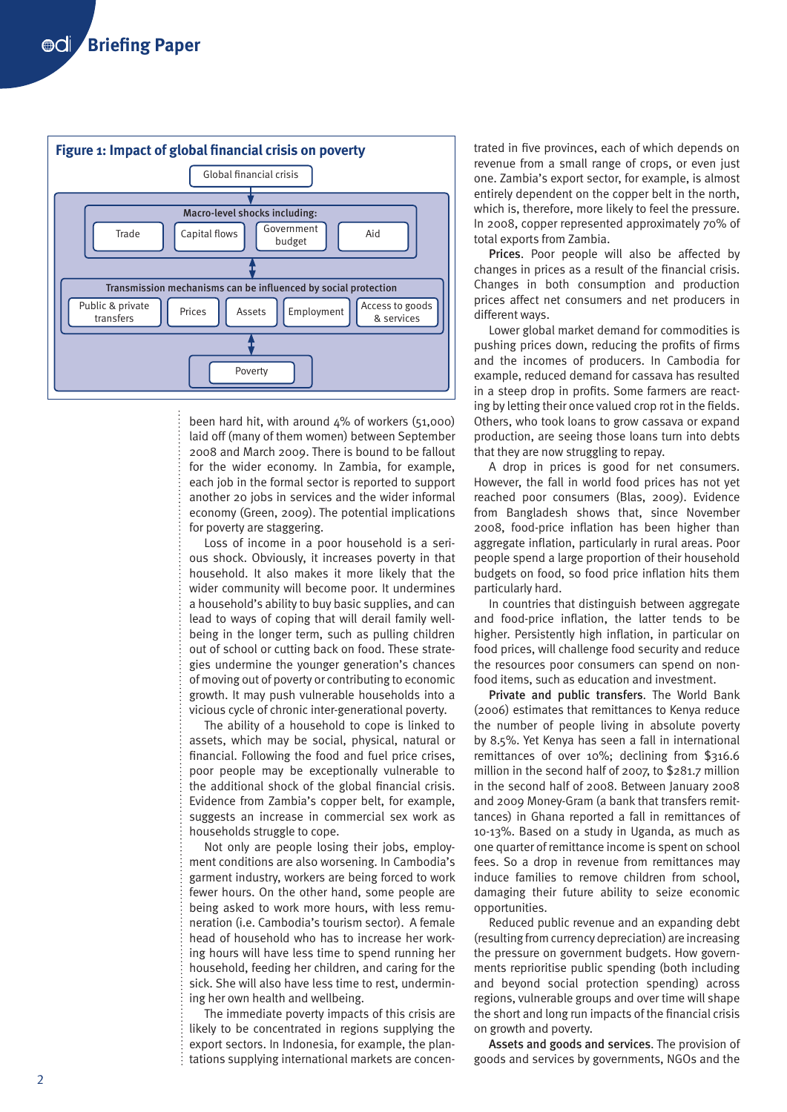

been hard hit, with around  $4\%$  of workers (51,000) laid off (many of them women) between September 2008 and March 2009. There is bound to be fallout for the wider economy. In Zambia, for example, each job in the formal sector is reported to support another 20 jobs in services and the wider informal economy (Green, 2009). The potential implications for poverty are staggering.

Loss of income in a poor household is a serious shock. Obviously, it increases poverty in that household. It also makes it more likely that the wider community will become poor. It undermines a household's ability to buy basic supplies, and can lead to ways of coping that will derail family wellbeing in the longer term, such as pulling children out of school or cutting back on food. These strategies undermine the younger generation's chances of moving out of poverty or contributing to economic growth. It may push vulnerable households into a vicious cycle of chronic inter-generational poverty.

The ability of a household to cope is linked to assets, which may be social, physical, natural or financial. Following the food and fuel price crises, poor people may be exceptionally vulnerable to the additional shock of the global financial crisis. Evidence from Zambia's copper belt, for example, suggests an increase in commercial sex work as households struggle to cope.

Not only are people losing their jobs, employment conditions are also worsening. In Cambodia's garment industry, workers are being forced to work fewer hours. On the other hand, some people are being asked to work more hours, with less remuneration (i.e. Cambodia's tourism sector). A female head of household who has to increase her working hours will have less time to spend running her household, feeding her children, and caring for the sick. She will also have less time to rest, undermining her own health and wellbeing.

The immediate poverty impacts of this crisis are likely to be concentrated in regions supplying the export sectors. In Indonesia, for example, the plantations supplying international markets are concen-

trated in five provinces, each of which depends on revenue from a small range of crops, or even just one. Zambia's export sector, for example, is almost entirely dependent on the copper belt in the north, which is, therefore, more likely to feel the pressure. In 2008, copper represented approximately 70% of total exports from Zambia.

Prices. Poor people will also be affected by changes in prices as a result of the financial crisis. Changes in both consumption and production prices affect net consumers and net producers in different ways.

Lower global market demand for commodities is pushing prices down, reducing the profits of firms and the incomes of producers. In Cambodia for example, reduced demand for cassava has resulted in a steep drop in profits. Some farmers are reacting by letting their once valued crop rot in the fields. Others, who took loans to grow cassava or expand production, are seeing those loans turn into debts that they are now struggling to repay.

A drop in prices is good for net consumers. However, the fall in world food prices has not yet reached poor consumers (Blas, 2009). Evidence from Bangladesh shows that, since November 2008, food-price inflation has been higher than aggregate inflation, particularly in rural areas. Poor people spend a large proportion of their household budgets on food, so food price inflation hits them particularly hard.

In countries that distinguish between aggregate and food-price inflation, the latter tends to be higher. Persistently high inflation, in particular on food prices, will challenge food security and reduce the resources poor consumers can spend on nonfood items, such as education and investment.

Private and public transfers. The World Bank (2006) estimates that remittances to Kenya reduce the number of people living in absolute poverty by 8.5%. Yet Kenya has seen a fall in international remittances of over 10%; declining from \$316.6 million in the second half of 2007, to \$281.7 million in the second half of 2008. Between January 2008 and 2009 Money-Gram (a bank that transfers remittances) in Ghana reported a fall in remittances of 10-13%. Based on a study in Uganda, as much as one quarter of remittance income is spent on school fees. So a drop in revenue from remittances may induce families to remove children from school, damaging their future ability to seize economic opportunities.

Reduced public revenue and an expanding debt (resulting from currency depreciation) are increasing the pressure on government budgets. How governments reprioritise public spending (both including and beyond social protection spending) across regions, vulnerable groups and over time will shape the short and long run impacts of the financial crisis on growth and poverty.

Assets and goods and services. The provision of goods and services by governments, NGOs and the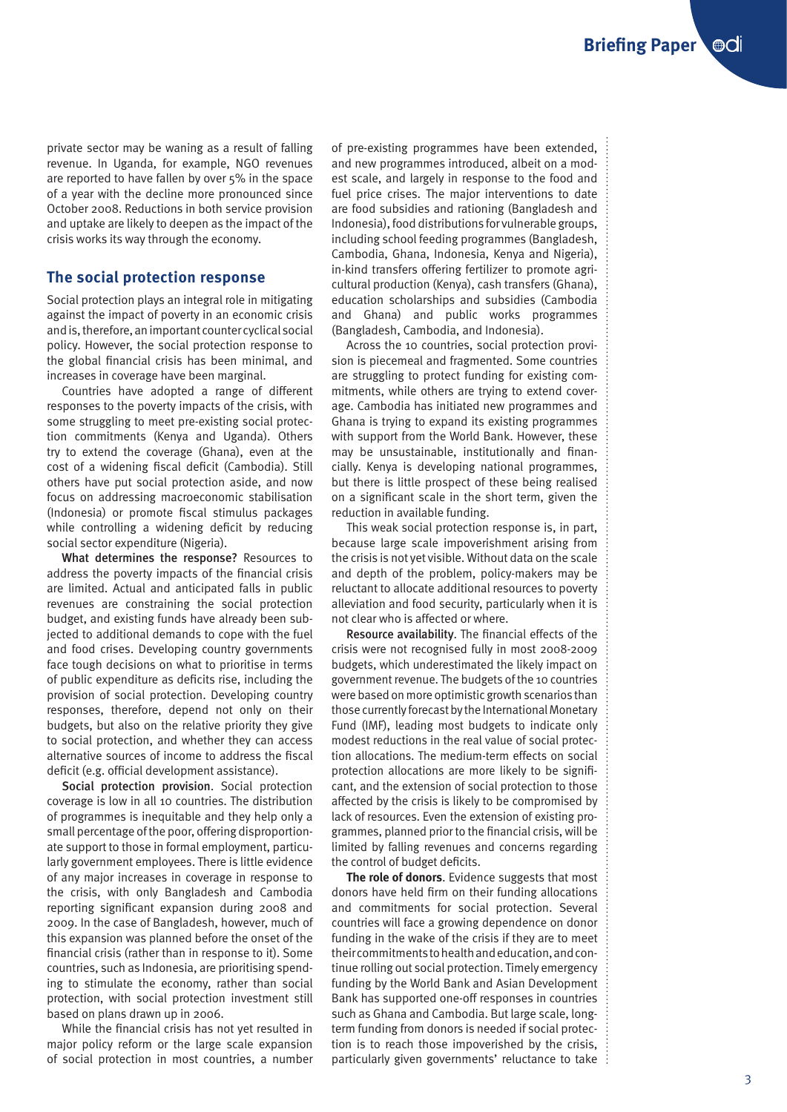private sector may be waning as a result of falling revenue. In Uganda, for example, NGO revenues are reported to have fallen by over 5% in the space of a year with the decline more pronounced since October 2008. Reductions in both service provision and uptake are likely to deepen as the impact of the crisis works its way through the economy.

#### **The social protection response**

Social protection plays an integral role in mitigating against the impact of poverty in an economic crisis and is, therefore, an important counter cyclical social policy. However, the social protection response to the global financial crisis has been minimal, and increases in coverage have been marginal.

Countries have adopted a range of different responses to the poverty impacts of the crisis, with some struggling to meet pre-existing social protection commitments (Kenya and Uganda). Others try to extend the coverage (Ghana), even at the cost of a widening fiscal deficit (Cambodia). Still others have put social protection aside, and now focus on addressing macroeconomic stabilisation (Indonesia) or promote fiscal stimulus packages while controlling a widening deficit by reducing social sector expenditure (Nigeria).

What determines the response? Resources to address the poverty impacts of the financial crisis are limited. Actual and anticipated falls in public revenues are constraining the social protection budget, and existing funds have already been subjected to additional demands to cope with the fuel and food crises. Developing country governments face tough decisions on what to prioritise in terms of public expenditure as deficits rise, including the provision of social protection. Developing country responses, therefore, depend not only on their budgets, but also on the relative priority they give to social protection, and whether they can access alternative sources of income to address the fiscal deficit (e.g. official development assistance).

Social protection provision. Social protection coverage is low in all 10 countries. The distribution of programmes is inequitable and they help only a small percentage of the poor, offering disproportionate support to those in formal employment, particularly government employees. There is little evidence of any major increases in coverage in response to the crisis, with only Bangladesh and Cambodia reporting significant expansion during 2008 and 2009. In the case of Bangladesh, however, much of this expansion was planned before the onset of the financial crisis (rather than in response to it). Some countries, such as Indonesia, are prioritising spending to stimulate the economy, rather than social protection, with social protection investment still based on plans drawn up in 2006.

While the financial crisis has not yet resulted in major policy reform or the large scale expansion of social protection in most countries, a number of pre-existing programmes have been extended, and new programmes introduced, albeit on a modest scale, and largely in response to the food and fuel price crises. The major interventions to date are food subsidies and rationing (Bangladesh and Indonesia), food distributions for vulnerable groups, including school feeding programmes (Bangladesh, Cambodia, Ghana, Indonesia, Kenya and Nigeria), in-kind transfers offering fertilizer to promote agricultural production (Kenya), cash transfers (Ghana), education scholarships and subsidies (Cambodia and Ghana) and public works programmes (Bangladesh, Cambodia, and Indonesia).

Across the 10 countries, social protection provision is piecemeal and fragmented. Some countries are struggling to protect funding for existing commitments, while others are trying to extend coverage. Cambodia has initiated new programmes and Ghana is trying to expand its existing programmes with support from the World Bank. However, these may be unsustainable, institutionally and financially. Kenya is developing national programmes, but there is little prospect of these being realised on a significant scale in the short term, given the reduction in available funding.

This weak social protection response is, in part, because large scale impoverishment arising from the crisis is not yet visible. Without data on the scale and depth of the problem, policy-makers may be reluctant to allocate additional resources to poverty alleviation and food security, particularly when it is not clear who is affected or where.

Resource availability. The financial effects of the crisis were not recognised fully in most 2008-2009 budgets, which underestimated the likely impact on government revenue. The budgets of the 10 countries were based on more optimistic growth scenarios than those currently forecast by the International Monetary Fund (IMF), leading most budgets to indicate only modest reductions in the real value of social protection allocations. The medium-term effects on social protection allocations are more likely to be significant, and the extension of social protection to those affected by the crisis is likely to be compromised by lack of resources. Even the extension of existing programmes, planned prior to the financial crisis, will be limited by falling revenues and concerns regarding the control of budget deficits.

**The role of donors**. Evidence suggests that most donors have held firm on their funding allocations and commitments for social protection. Several countries will face a growing dependence on donor funding in the wake of the crisis if they are to meet their commitments to health and education, and continue rolling out social protection. Timely emergency funding by the World Bank and Asian Development Bank has supported one-off responses in countries such as Ghana and Cambodia. But large scale, longterm funding from donors is needed if social protection is to reach those impoverished by the crisis, particularly given governments' reluctance to take